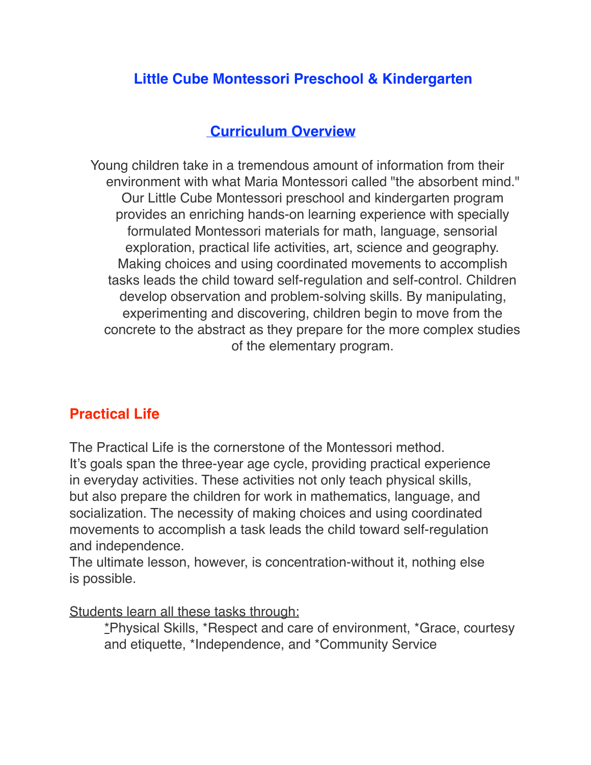# **Little Cube Montessori Preschool & Kindergarten**

### **Curriculum Overview**

 Young children take in a tremendous amount of information from their environment with what Maria Montessori called "the absorbent mind." Our Little Cube Montessori preschool and kindergarten program provides an enriching hands-on learning experience with specially formulated Montessori materials for math, language, sensorial exploration, practical life activities, art, science and geography. Making choices and using coordinated movements to accomplish tasks leads the child toward self-regulation and self-control. Children develop observation and problem-solving skills. By manipulating, experimenting and discovering, children begin to move from the concrete to the abstract as they prepare for the more complex studies of the elementary program.

## **Practical Life**

The Practical Life is the cornerstone of the Montessori method. It's goals span the three-year age cycle, providing practical experience in everyday activities. These activities not only teach physical skills, but also prepare the children for work in mathematics, language, and socialization. The necessity of making choices and using coordinated movements to accomplish a task leads the child toward self-regulation and independence.

The ultimate lesson, however, is concentration-without it, nothing else is possible.

Students learn all these tasks through:

\*Physical Skills, \*Respect and care of environment, \*Grace, courtesy and etiquette, \*Independence, and \*Community Service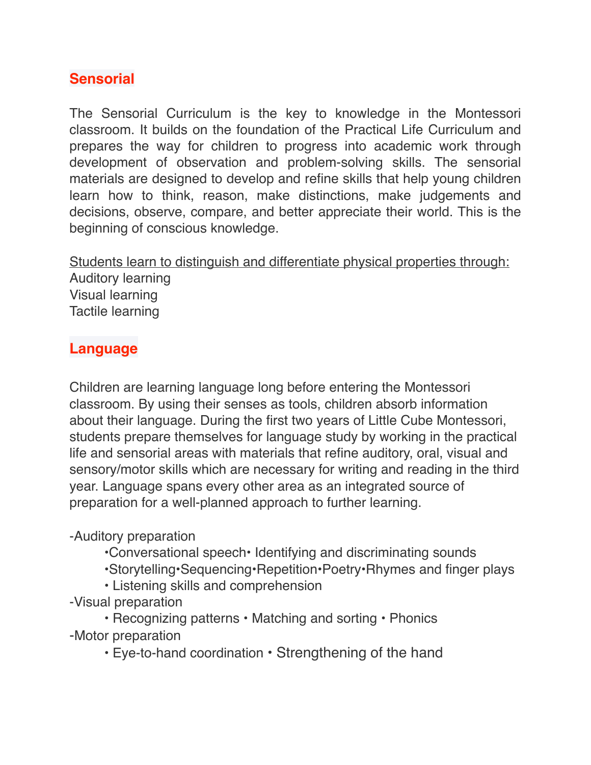# **Sensorial**

The Sensorial Curriculum is the key to knowledge in the Montessori classroom. It builds on the foundation of the Practical Life Curriculum and prepares the way for children to progress into academic work through development of observation and problem-solving skills. The sensorial materials are designed to develop and refine skills that help young children learn how to think, reason, make distinctions, make judgements and decisions, observe, compare, and better appreciate their world. This is the beginning of conscious knowledge.

Students learn to distinguish and differentiate physical properties through: Auditory learning Visual learning Tactile learning

## **Language**

Children are learning language long before entering the Montessori classroom. By using their senses as tools, children absorb information about their language. During the first two years of Little Cube Montessori, students prepare themselves for language study by working in the practical life and sensorial areas with materials that refine auditory, oral, visual and sensory/motor skills which are necessary for writing and reading in the third year. Language spans every other area as an integrated source of preparation for a well-planned approach to further learning.

#### -Auditory preparation

- •Conversational speech• Identifying and discriminating sounds
- •Storytelling•Sequencing•Repetition•Poetry•Rhymes and finger plays
- Listening skills and comprehension
- -Visual preparation

• Recognizing patterns • Matching and sorting • Phonics -Motor preparation

• Eye-to-hand coordination • Strengthening of the hand